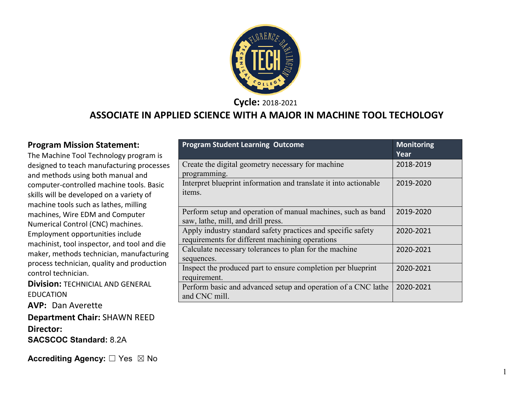

**Cycle:** 2018-2021

#### **ASSOCIATE IN APPLIED SCIENCE WITH A MAJOR IN MACHINE TOOL TECHOLOGY**

#### **Program Mission Statement:**

The Machine Tool Technology program is designed to teach manufacturing processes and methods using both manual and computer-controlled machine tools. Basic skills will be developed on a variety of machine tools such as lathes, milling machines, Wire EDM and Computer Numerical Control (CNC) machines. Employment opportunities include machinist, tool inspector, and tool and die maker, methods technician, manufacturing process technician, quality and production control technician.

**Division:** TECHNICIAL AND GENERAL EDUCATION

**AVP:** Dan Averette

**Department Chair:** SHAWN REED **Director: SACSCOC Standard:** 8.2A

|                                                                  | Year      |
|------------------------------------------------------------------|-----------|
| Create the digital geometry necessary for machine                | 2018-2019 |
| programming.                                                     |           |
| Interpret blueprint information and translate it into actionable | 2019-2020 |
| items.                                                           |           |
|                                                                  |           |
| Perform setup and operation of manual machines, such as band     | 2019-2020 |
| saw, lathe, mill, and drill press.                               |           |
| Apply industry standard safety practices and specific safety     | 2020-2021 |
| requirements for different machining operations                  |           |
| Calculate necessary tolerances to plan for the machine           | 2020-2021 |
| sequences.                                                       |           |
| Inspect the produced part to ensure completion per blueprint     | 2020-2021 |
| requirement.                                                     |           |
| Perform basic and advanced setup and operation of a CNC lathe    | 2020-2021 |
| and CNC mill.                                                    |           |

**Program Student Learning Outcome Monitoring Monitoring** 

**Accrediting Agency:** ☐ Yes ☒ No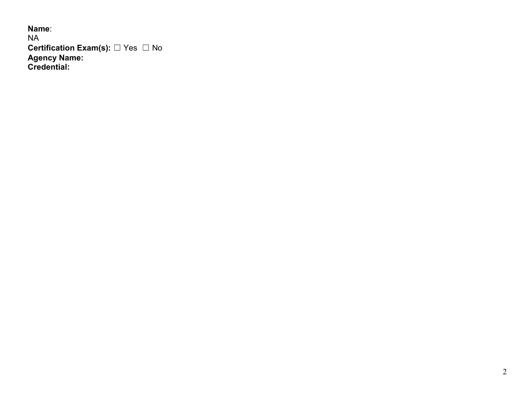**Name**: NA **Certification Exam(s):** ☐ Yes ☐ No **Agency Name: Credential:**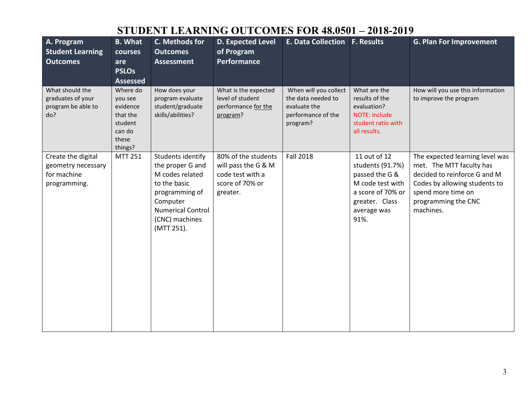| A. Program<br><b>Student Learning</b><br><b>Outcomes</b>                | <b>B.</b> What<br>courses<br>are<br><b>PSLOs</b><br><b>Assessed</b>                  | C. Methods for<br><b>Outcomes</b><br><b>Assessment</b>                                                                                                             | <b>D. Expected Level</b><br>of Program<br>Performance                                         | E. Data Collection F. Results                                                                 |                                                                                                                                      | <b>G. Plan For Improvement</b>                                                                                                                                                         |
|-------------------------------------------------------------------------|--------------------------------------------------------------------------------------|--------------------------------------------------------------------------------------------------------------------------------------------------------------------|-----------------------------------------------------------------------------------------------|-----------------------------------------------------------------------------------------------|--------------------------------------------------------------------------------------------------------------------------------------|----------------------------------------------------------------------------------------------------------------------------------------------------------------------------------------|
| What should the<br>graduates of your<br>program be able to<br>do?       | Where do<br>you see<br>evidence<br>that the<br>student<br>can do<br>these<br>things? | How does your<br>program evaluate<br>student/graduate<br>skills/abilities?                                                                                         | What is the expected<br>level of student<br>performance for the<br>program?                   | When will you collect<br>the data needed to<br>evaluate the<br>performance of the<br>program? | What are the<br>results of the<br>evaluation?<br>NOTE: include<br>student ratio with<br>all results.                                 | How will you use this information<br>to improve the program                                                                                                                            |
| Create the digital<br>geometry necessary<br>for machine<br>programming. | <b>MTT 251</b>                                                                       | Students identify<br>the proper G and<br>M codes related<br>to the basic<br>programming of<br>Computer<br><b>Numerical Control</b><br>(CNC) machines<br>(MTT 251). | 80% of the students<br>will pass the G & M<br>code test with a<br>score of 70% or<br>greater. | <b>Fall 2018</b>                                                                              | 11 out of 12<br>students (91.7%)<br>passed the G &<br>M code test with<br>a score of 70% or<br>greater. Class<br>average was<br>91%. | The expected learning level was<br>met. The MTT faculty has<br>decided to reinforce G and M<br>Codes by allowing students to<br>spend more time on<br>programming the CNC<br>machines. |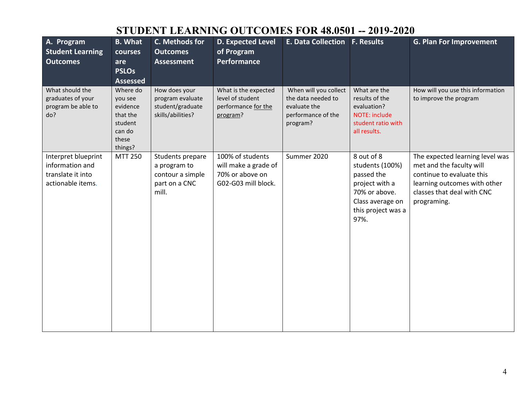| A. Program<br><b>Student Learning</b><br><b>Outcomes</b>                         | <b>B.</b> What<br>courses<br>are<br><b>PSLOs</b><br><b>Assessed</b>                  | C. Methods for<br><b>Outcomes</b><br><b>Assessment</b>                         | <b>D. Expected Level</b><br>of Program<br><b>Performance</b>                       | E. Data Collection F. Results                                                                 |                                                                                                                                  | <b>G. Plan For Improvement</b>                                                                                                                                        |
|----------------------------------------------------------------------------------|--------------------------------------------------------------------------------------|--------------------------------------------------------------------------------|------------------------------------------------------------------------------------|-----------------------------------------------------------------------------------------------|----------------------------------------------------------------------------------------------------------------------------------|-----------------------------------------------------------------------------------------------------------------------------------------------------------------------|
| What should the<br>graduates of your<br>program be able to<br>do?                | Where do<br>you see<br>evidence<br>that the<br>student<br>can do<br>these<br>things? | How does your<br>program evaluate<br>student/graduate<br>skills/abilities?     | What is the expected<br>level of student<br>performance for the<br>program?        | When will you collect<br>the data needed to<br>evaluate the<br>performance of the<br>program? | What are the<br>results of the<br>evaluation?<br>NOTE: include<br>student ratio with<br>all results.                             | How will you use this information<br>to improve the program                                                                                                           |
| Interpret blueprint<br>information and<br>translate it into<br>actionable items. | <b>MTT 250</b>                                                                       | Students prepare<br>a program to<br>contour a simple<br>part on a CNC<br>mill. | 100% of students<br>will make a grade of<br>70% or above on<br>G02-G03 mill block. | Summer 2020                                                                                   | 8 out of 8<br>students (100%)<br>passed the<br>project with a<br>70% or above.<br>Class average on<br>this project was a<br>97%. | The expected learning level was<br>met and the faculty will<br>continue to evaluate this<br>learning outcomes with other<br>classes that deal with CNC<br>programing. |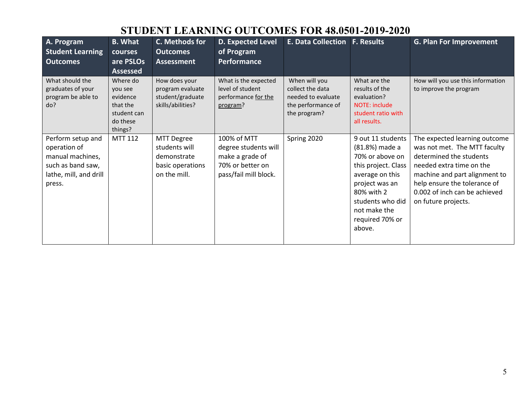| A. Program<br><b>Student Learning</b><br><b>Outcomes</b>                                                       | <b>B.</b> What<br>courses<br>are PSLOs<br><b>Assessed</b>                         | C. Methods for<br><b>Outcomes</b><br><b>Assessment</b>                                | D. Expected Level<br>of Program<br><b>Performance</b>                                               | <b>E. Data Collection</b>                                                                     | <b>F. Results</b>                                                                                                                                                                                 | <b>G. Plan For Improvement</b>                                                                                                                                                                                                                |
|----------------------------------------------------------------------------------------------------------------|-----------------------------------------------------------------------------------|---------------------------------------------------------------------------------------|-----------------------------------------------------------------------------------------------------|-----------------------------------------------------------------------------------------------|---------------------------------------------------------------------------------------------------------------------------------------------------------------------------------------------------|-----------------------------------------------------------------------------------------------------------------------------------------------------------------------------------------------------------------------------------------------|
| What should the<br>graduates of your<br>program be able to<br>do?                                              | Where do<br>vou see<br>evidence<br>that the<br>student can<br>do these<br>things? | How does your<br>program evaluate<br>student/graduate<br>skills/abilities?            | What is the expected<br>level of student<br>performance for the<br>program?                         | When will you<br>collect the data<br>needed to evaluate<br>the performance of<br>the program? | What are the<br>results of the<br>evaluation?<br>NOTE: include<br>student ratio with<br>all results.                                                                                              | How will you use this information<br>to improve the program                                                                                                                                                                                   |
| Perform setup and<br>operation of<br>manual machines,<br>such as band saw,<br>lathe, mill, and drill<br>press. | <b>MTT 112</b>                                                                    | <b>MTT Degree</b><br>students will<br>demonstrate<br>basic operations<br>on the mill. | 100% of MTT<br>degree students will<br>make a grade of<br>70% or better on<br>pass/fail mill block. | Spring 2020                                                                                   | 9 out 11 students<br>(81.8%) made a<br>70% or above on<br>this project. Class<br>average on this<br>project was an<br>80% with 2<br>students who did<br>not make the<br>required 70% or<br>above. | The expected learning outcome<br>was not met. The MTT faculty<br>determined the students<br>needed extra time on the<br>machine and part alignment to<br>help ensure the tolerance of<br>0.002 of inch can be achieved<br>on future projects. |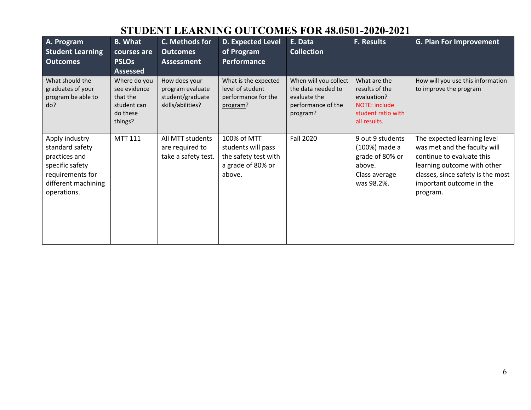| A. Program<br><b>Student Learning</b><br><b>Outcomes</b>                                                                        | <b>B.</b> What<br>courses are<br><b>PSLOs</b><br><b>Assessed</b>               | C. Methods for<br><b>Outcomes</b><br><b>Assessment</b>                     | <b>D. Expected Level</b><br>of Program<br><b>Performance</b>                             | E. Data<br><b>Collection</b>                                                                  | <b>F. Results</b>                                                                                           | <b>G. Plan For Improvement</b>                                                                                                                                                                       |
|---------------------------------------------------------------------------------------------------------------------------------|--------------------------------------------------------------------------------|----------------------------------------------------------------------------|------------------------------------------------------------------------------------------|-----------------------------------------------------------------------------------------------|-------------------------------------------------------------------------------------------------------------|------------------------------------------------------------------------------------------------------------------------------------------------------------------------------------------------------|
| What should the<br>graduates of your<br>program be able to<br>do?                                                               | Where do you<br>see evidence<br>that the<br>student can<br>do these<br>things? | How does your<br>program evaluate<br>student/graduate<br>skills/abilities? | What is the expected<br>level of student<br>performance for the<br>program?              | When will you collect<br>the data needed to<br>evaluate the<br>performance of the<br>program? | What are the<br>results of the<br>evaluation?<br><b>NOTE: include</b><br>student ratio with<br>all results. | How will you use this information<br>to improve the program                                                                                                                                          |
| Apply industry<br>standard safety<br>practices and<br>specific safety<br>requirements for<br>different machining<br>operations. | <b>MTT 111</b>                                                                 | All MTT students<br>are required to<br>take a safety test.                 | 100% of MTT<br>students will pass<br>the safety test with<br>a grade of 80% or<br>above. | <b>Fall 2020</b>                                                                              | 9 out 9 students<br>(100%) made a<br>grade of 80% or<br>above.<br>Class average<br>was 98.2%.               | The expected learning level<br>was met and the faculty will<br>continue to evaluate this<br>learning outcome with other<br>classes, since safety is the most<br>important outcome in the<br>program. |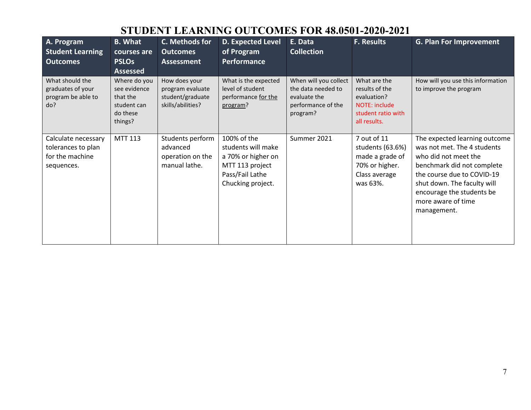| A. Program<br><b>Student Learning</b><br><b>Outcomes</b>                   | <b>B.</b> What<br>courses are<br><b>PSLOs</b><br><b>Assessed</b>               | C. Methods for<br><b>Outcomes</b><br><b>Assessment</b>                     | <b>D. Expected Level</b><br>of Program<br>Performance                                                              | E. Data<br><b>Collection</b>                                                                  | <b>F. Results</b>                                                                                           | <b>G. Plan For Improvement</b>                                                                                                                                                                                                                    |
|----------------------------------------------------------------------------|--------------------------------------------------------------------------------|----------------------------------------------------------------------------|--------------------------------------------------------------------------------------------------------------------|-----------------------------------------------------------------------------------------------|-------------------------------------------------------------------------------------------------------------|---------------------------------------------------------------------------------------------------------------------------------------------------------------------------------------------------------------------------------------------------|
| What should the<br>graduates of your<br>program be able to<br>do?          | Where do you<br>see evidence<br>that the<br>student can<br>do these<br>things? | How does your<br>program evaluate<br>student/graduate<br>skills/abilities? | What is the expected<br>level of student<br>performance for the<br>program?                                        | When will you collect<br>the data needed to<br>evaluate the<br>performance of the<br>program? | What are the<br>results of the<br>evaluation?<br><b>NOTE: include</b><br>student ratio with<br>all results. | How will you use this information<br>to improve the program                                                                                                                                                                                       |
| Calculate necessary<br>tolerances to plan<br>for the machine<br>sequences. | MTT 113                                                                        | Students perform<br>advanced<br>operation on the<br>manual lathe.          | 100% of the<br>students will make<br>a 70% or higher on<br>MTT 113 project<br>Pass/Fail Lathe<br>Chucking project. | Summer 2021                                                                                   | 7 out of 11<br>students (63.6%)<br>made a grade of<br>70% or higher.<br>Class average<br>was 63%.           | The expected learning outcome<br>was not met. The 4 students<br>who did not meet the<br>benchmark did not complete<br>the course due to COVID-19<br>shut down. The faculty will<br>encourage the students be<br>more aware of time<br>management. |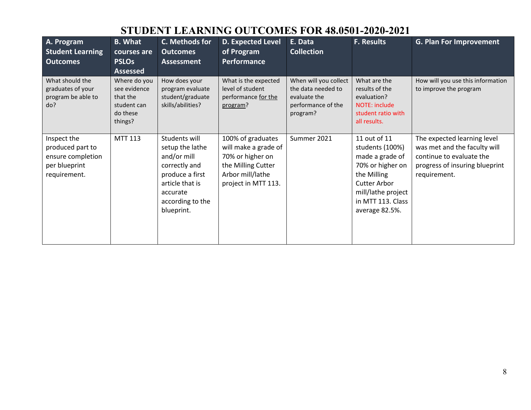| A. Program<br><b>Student Learning</b><br><b>Outcomes</b>                              | <b>B.</b> What<br>courses are<br><b>PSLOs</b><br><b>Assessed</b>               | C. Methods for<br><b>Outcomes</b><br><b>Assessment</b>                                                                                               | D. Expected Level<br>of Program<br>Performance                                                                                 | E. Data<br><b>Collection</b>                                                                  | <b>F. Results</b>                                                                                                                                                         | <b>G. Plan For Improvement</b>                                                                                                            |
|---------------------------------------------------------------------------------------|--------------------------------------------------------------------------------|------------------------------------------------------------------------------------------------------------------------------------------------------|--------------------------------------------------------------------------------------------------------------------------------|-----------------------------------------------------------------------------------------------|---------------------------------------------------------------------------------------------------------------------------------------------------------------------------|-------------------------------------------------------------------------------------------------------------------------------------------|
| What should the<br>graduates of your<br>program be able to<br>do?                     | Where do you<br>see evidence<br>that the<br>student can<br>do these<br>things? | How does your<br>program evaluate<br>student/graduate<br>skills/abilities?                                                                           | What is the expected<br>level of student<br>performance for the<br>program?                                                    | When will you collect<br>the data needed to<br>evaluate the<br>performance of the<br>program? | What are the<br>results of the<br>evaluation?<br>NOTE: include<br>student ratio with<br>all results.                                                                      | How will you use this information<br>to improve the program                                                                               |
| Inspect the<br>produced part to<br>ensure completion<br>per blueprint<br>requirement. | <b>MTT 113</b>                                                                 | Students will<br>setup the lathe<br>and/or mill<br>correctly and<br>produce a first<br>article that is<br>accurate<br>according to the<br>blueprint. | 100% of graduates<br>will make a grade of<br>70% or higher on<br>the Milling Cutter<br>Arbor mill/lathe<br>project in MTT 113. | Summer 2021                                                                                   | 11 out of 11<br>students (100%)<br>made a grade of<br>70% or higher on<br>the Milling<br><b>Cutter Arbor</b><br>mill/lathe project<br>in MTT 113. Class<br>average 82.5%. | The expected learning level<br>was met and the faculty will<br>continue to evaluate the<br>progress of insuring blueprint<br>requirement. |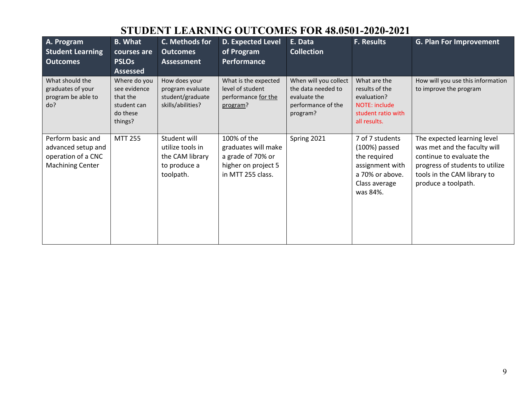| A. Program<br><b>Student Learning</b><br><b>Outcomes</b>                                 | <b>B.</b> What<br>courses are<br><b>PSLOs</b><br><b>Assessed</b>               | C. Methods for<br><b>Outcomes</b><br><b>Assessment</b>                           | <b>D. Expected Level</b><br>of Program<br>Performance                                               | E. Data<br><b>Collection</b>                                                                  | <b>F. Results</b>                                                                                                     | <b>G. Plan For Improvement</b>                                                                                                                                                   |
|------------------------------------------------------------------------------------------|--------------------------------------------------------------------------------|----------------------------------------------------------------------------------|-----------------------------------------------------------------------------------------------------|-----------------------------------------------------------------------------------------------|-----------------------------------------------------------------------------------------------------------------------|----------------------------------------------------------------------------------------------------------------------------------------------------------------------------------|
| What should the<br>graduates of your<br>program be able to<br>do?                        | Where do you<br>see evidence<br>that the<br>student can<br>do these<br>things? | How does your<br>program evaluate<br>student/graduate<br>skills/abilities?       | What is the expected<br>level of student<br>performance for the<br>program?                         | When will you collect<br>the data needed to<br>evaluate the<br>performance of the<br>program? | What are the<br>results of the<br>evaluation?<br>NOTE: include<br>student ratio with<br>all results.                  | How will you use this information<br>to improve the program                                                                                                                      |
| Perform basic and<br>advanced setup and<br>operation of a CNC<br><b>Machining Center</b> | <b>MTT 255</b>                                                                 | Student will<br>utilize tools in<br>the CAM library<br>to produce a<br>toolpath. | 100% of the<br>graduates will make<br>a grade of 70% or<br>higher on project 5<br>in MTT 255 class. | Spring 2021                                                                                   | 7 of 7 students<br>$(100%)$ passed<br>the required<br>assignment with<br>a 70% or above.<br>Class average<br>was 84%. | The expected learning level<br>was met and the faculty will<br>continue to evaluate the<br>progress of students to utilize<br>tools in the CAM library to<br>produce a toolpath. |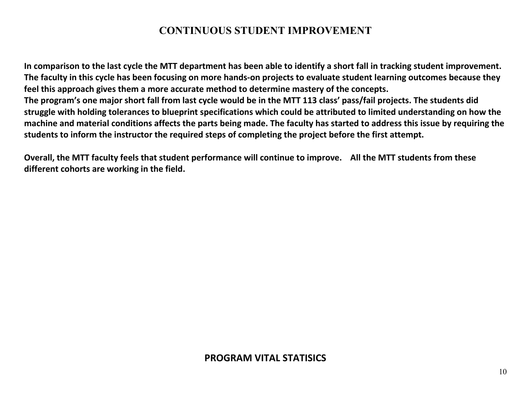#### **CONTINUOUS STUDENT IMPROVEMENT**

**In comparison to the last cycle the MTT department has been able to identify a short fall in tracking student improvement. The faculty in this cycle has been focusing on more hands-on projects to evaluate student learning outcomes because they feel this approach gives them a more accurate method to determine mastery of the concepts. The program's one major short fall from last cycle would be in the MTT 113 class' pass/fail projects. The students did struggle with holding tolerances to blueprint specifications which could be attributed to limited understanding on how the machine and material conditions affects the parts being made. The faculty has started to address this issue by requiring the students to inform the instructor the required steps of completing the project before the first attempt.**

**Overall, the MTT faculty feels that student performance will continue to improve. All the MTT students from these different cohorts are working in the field.**

#### **PROGRAM VITAL STATISICS**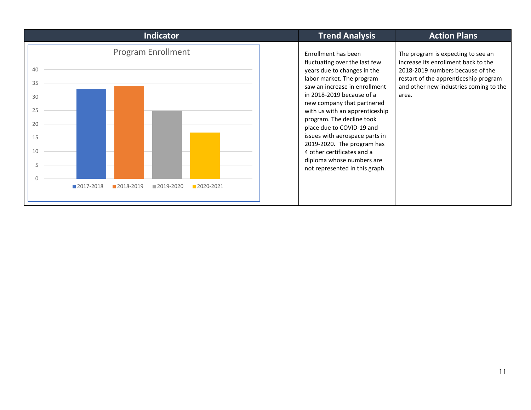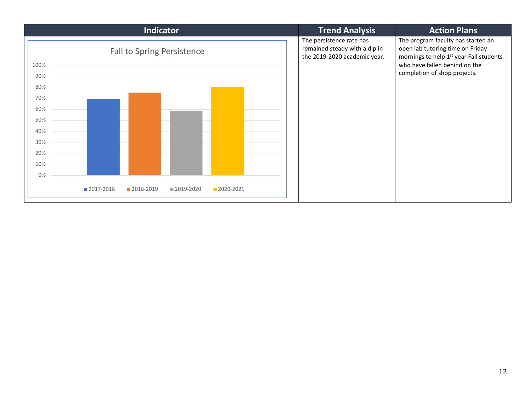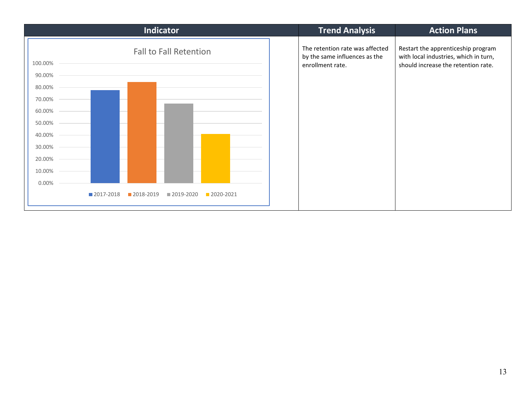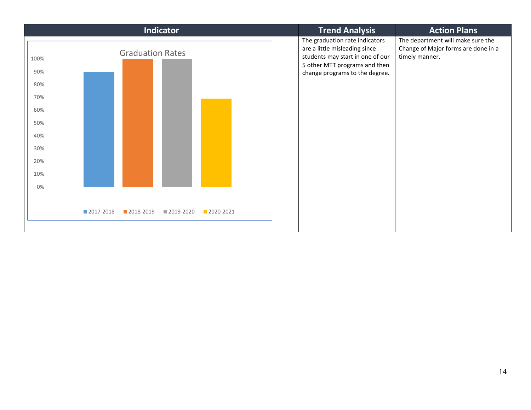